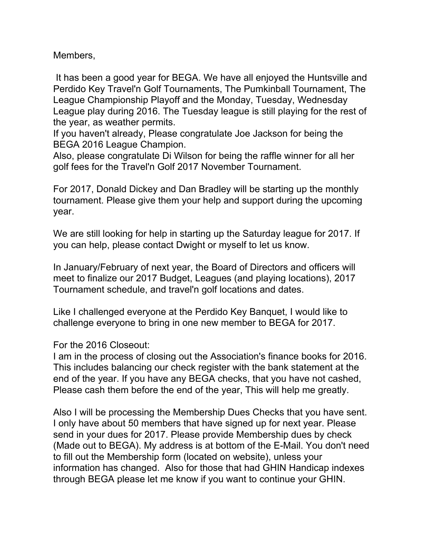Members,

 It has been a good year for BEGA. We have all enjoyed the Huntsville and Perdido Key Travel'n Golf Tournaments, The Pumkinball Tournament, The League Championship Playoff and the Monday, Tuesday, Wednesday League play during 2016. The Tuesday league is still playing for the rest of the year, as weather permits.

If you haven't already, Please congratulate Joe Jackson for being the BEGA 2016 League Champion.

Also, please congratulate Di Wilson for being the raffle winner for all her golf fees for the Travel'n Golf 2017 November Tournament.

For 2017, Donald Dickey and Dan Bradley will be starting up the monthly tournament. Please give them your help and support during the upcoming year.

We are still looking for help in starting up the Saturday league for 2017. If you can help, please contact Dwight or myself to let us know.

In January/February of next year, the Board of Directors and officers will meet to finalize our 2017 Budget, Leagues (and playing locations), 2017 Tournament schedule, and travel'n golf locations and dates.

Like I challenged everyone at the Perdido Key Banquet, I would like to challenge everyone to bring in one new member to BEGA for 2017.

For the 2016 Closeout:

I am in the process of closing out the Association's finance books for 2016. This includes balancing our check register with the bank statement at the end of the year. If you have any BEGA checks, that you have not cashed, Please cash them before the end of the year, This will help me greatly.

Also I will be processing the Membership Dues Checks that you have sent. I only have about 50 members that have signed up for next year. Please send in your dues for 2017. Please provide Membership dues by check (Made out to BEGA). My address is at bottom of the E-Mail. You don't need to fill out the Membership form (located on website), unless your information has changed. Also for those that had GHIN Handicap indexes through BEGA please let me know if you want to continue your GHIN.